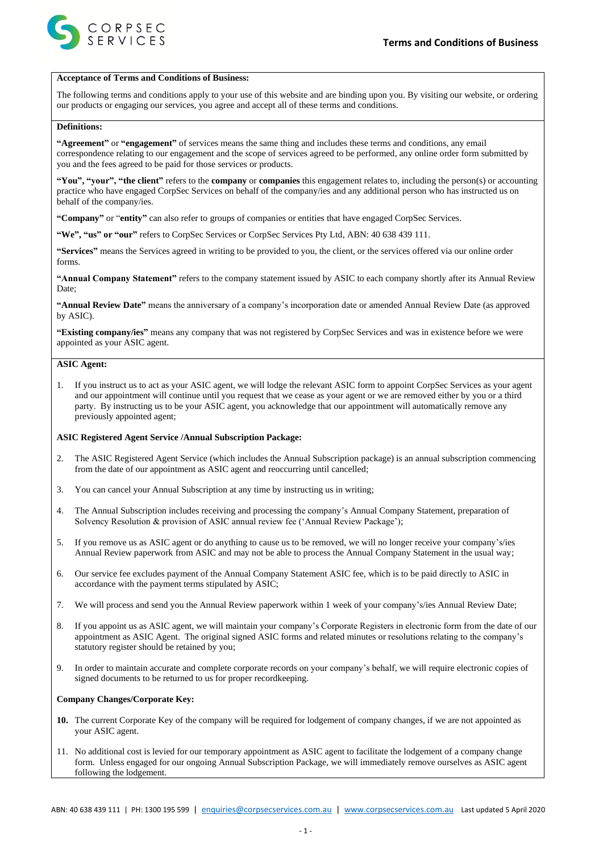



#### **Acceptance of Terms and Conditions of Business:**

The following terms and conditions apply to your use of this website and are binding upon you. By visiting our website, or ordering our products or engaging our services, you agree and accept all of these terms and conditions.

## **Definitions:**

**"Agreement"** or **"engagement"** of services means the same thing and includes these terms and conditions, any email correspondence relating to our engagement and the scope of services agreed to be performed, any online order form submitted by you and the fees agreed to be paid for those services or products.

**"You", "your", "the client"** refers to the **company** or **companies** this engagement relates to, including the person(s) or accounting practice who have engaged CorpSec Services on behalf of the company/ies and any additional person who has instructed us on behalf of the company/ies.

**"Company"** or "**entity"** can also refer to groups of companies or entities that have engaged CorpSec Services.

**"We", "us" or "our"** refers to CorpSec Services or CorpSec Services Pty Ltd, ABN: 40 638 439 111.

**"Services"** means the Services agreed in writing to be provided to you, the client, or the services offered via our online order forms.

**"Annual Company Statement"** refers to the company statement issued by ASIC to each company shortly after its Annual Review Date;

**"Annual Review Date"** means the anniversary of a company's incorporation date or amended Annual Review Date (as approved by ASIC).

**"Existing company/ies"** means any company that was not registered by CorpSec Services and was in existence before we were appointed as your ASIC agent.

## **ASIC Agent:**

1. If you instruct us to act as your ASIC agent, we will lodge the relevant ASIC form to appoint CorpSec Services as your agent and our appointment will continue until you request that we cease as your agent or we are removed either by you or a third party. By instructing us to be your ASIC agent, you acknowledge that our appointment will automatically remove any previously appointed agent;

### **ASIC Registered Agent Service /Annual Subscription Package:**

- 2. The ASIC Registered Agent Service (which includes the Annual Subscription package) is an annual subscription commencing from the date of our appointment as ASIC agent and reoccurring until cancelled;
- 3. You can cancel your Annual Subscription at any time by instructing us in writing;
- 4. The Annual Subscription includes receiving and processing the company's Annual Company Statement, preparation of Solvency Resolution & provision of ASIC annual review fee ('Annual Review Package');
- 5. If you remove us as ASIC agent or do anything to cause us to be removed, we will no longer receive your company's/ies Annual Review paperwork from ASIC and may not be able to process the Annual Company Statement in the usual way;
- 6. Our service fee excludes payment of the Annual Company Statement ASIC fee, which is to be paid directly to ASIC in accordance with the payment terms stipulated by ASIC;
- 7. We will process and send you the Annual Review paperwork within 1 week of your company's/ies Annual Review Date;
- 8. If you appoint us as ASIC agent, we will maintain your company's Corporate Registers in electronic form from the date of our appointment as ASIC Agent. The original signed ASIC forms and related minutes or resolutions relating to the company's statutory register should be retained by you;
- 9. In order to maintain accurate and complete corporate records on your company's behalf, we will require electronic copies of signed documents to be returned to us for proper recordkeeping.

#### **Company Changes/Corporate Key:**

- **10.** The current Corporate Key of the company will be required for lodgement of company changes, if we are not appointed as your ASIC agent.
- 11. No additional cost is levied for our temporary appointment as ASIC agent to facilitate the lodgement of a company change form. Unless engaged for our ongoing Annual Subscription Package, we will immediately remove ourselves as ASIC agent following the lodgement.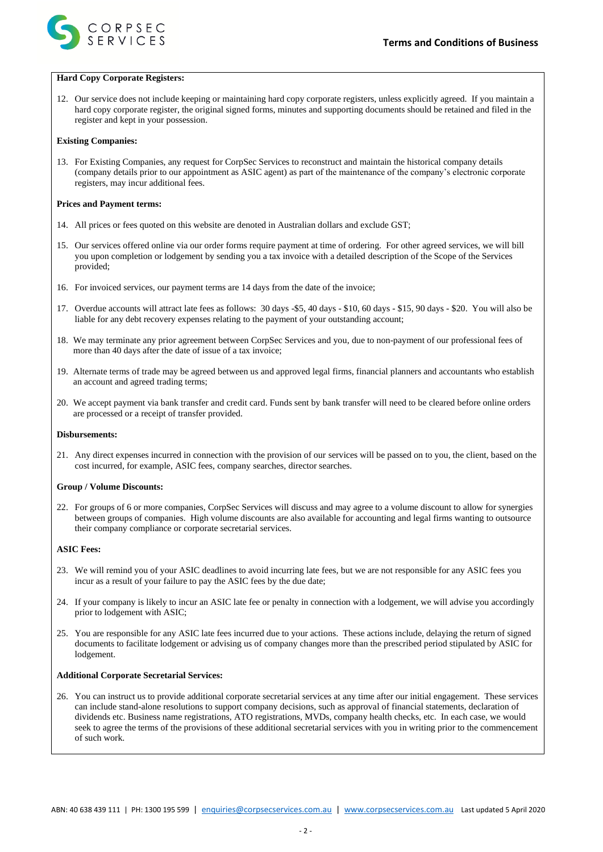



#### **Hard Copy Corporate Registers:**

12. Our service does not include keeping or maintaining hard copy corporate registers, unless explicitly agreed. If you maintain a hard copy corporate register, the original signed forms, minutes and supporting documents should be retained and filed in the register and kept in your possession.

### **Existing Companies:**

13. For Existing Companies, any request for CorpSec Services to reconstruct and maintain the historical company details (company details prior to our appointment as ASIC agent) as part of the maintenance of the company's electronic corporate registers, may incur additional fees.

## **Prices and Payment terms:**

- 14. All prices or fees quoted on this website are denoted in Australian dollars and exclude GST;
- 15. Our services offered online via our order forms require payment at time of ordering. For other agreed services, we will bill you upon completion or lodgement by sending you a tax invoice with a detailed description of the Scope of the Services provided;
- 16. For invoiced services, our payment terms are 14 days from the date of the invoice;
- 17. Overdue accounts will attract late fees as follows: 30 days -\$5, 40 days \$10, 60 days \$15, 90 days \$20. You will also be liable for any debt recovery expenses relating to the payment of your outstanding account;
- 18. We may terminate any prior agreement between CorpSec Services and you, due to non-payment of our professional fees of more than 40 days after the date of issue of a tax invoice;
- 19. Alternate terms of trade may be agreed between us and approved legal firms, financial planners and accountants who establish an account and agreed trading terms;
- 20. We accept payment via bank transfer and credit card. Funds sent by bank transfer will need to be cleared before online orders are processed or a receipt of transfer provided.

#### **Disbursements:**

21. Any direct expenses incurred in connection with the provision of our services will be passed on to you, the client, based on the cost incurred, for example, ASIC fees, company searches, director searches.

## **Group / Volume Discounts:**

22. For groups of 6 or more companies, CorpSec Services will discuss and may agree to a volume discount to allow for synergies between groups of companies. High volume discounts are also available for accounting and legal firms wanting to outsource their company compliance or corporate secretarial services.

# **ASIC Fees:**

- 23. We will remind you of your ASIC deadlines to avoid incurring late fees, but we are not responsible for any ASIC fees you incur as a result of your failure to pay the ASIC fees by the due date;
- 24. If your company is likely to incur an ASIC late fee or penalty in connection with a lodgement, we will advise you accordingly prior to lodgement with ASIC;
- 25. You are responsible for any ASIC late fees incurred due to your actions. These actions include, delaying the return of signed documents to facilitate lodgement or advising us of company changes more than the prescribed period stipulated by ASIC for lodgement.

#### **Additional Corporate Secretarial Services:**

26. You can instruct us to provide additional corporate secretarial services at any time after our initial engagement. These services can include stand-alone resolutions to support company decisions, such as approval of financial statements, declaration of dividends etc. Business name registrations, ATO registrations, MVDs, company health checks, etc. In each case, we would seek to agree the terms of the provisions of these additional secretarial services with you in writing prior to the commencement of such work.